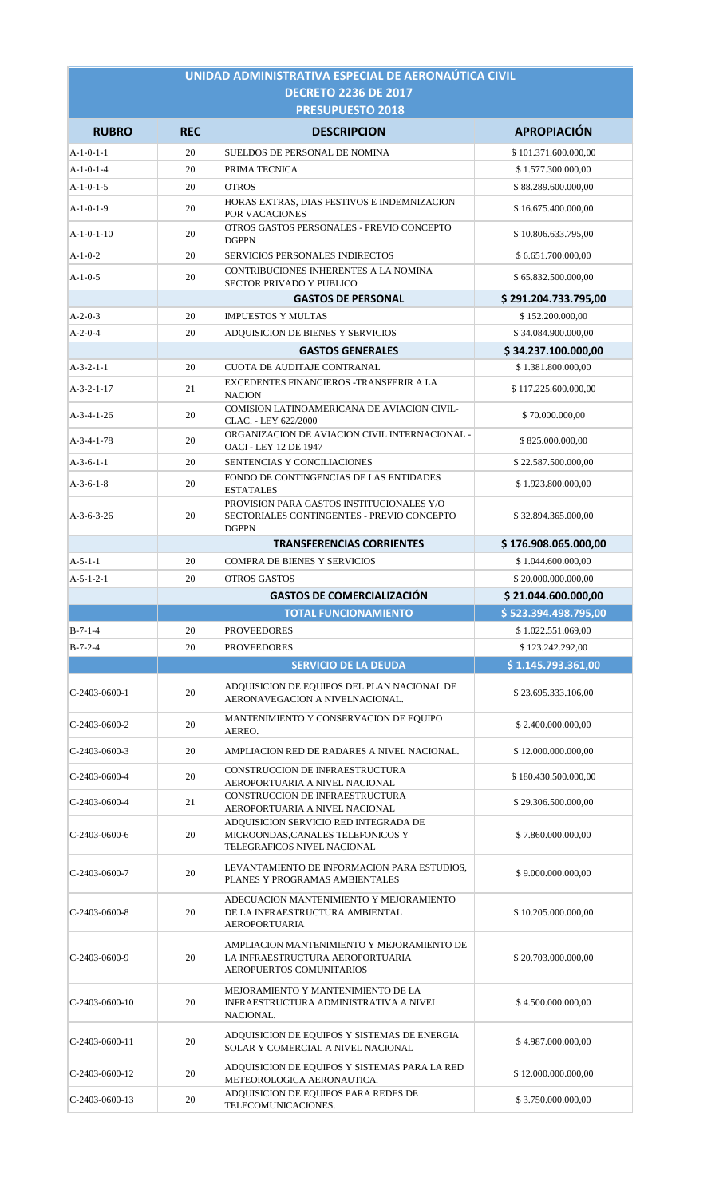## **UNIDAD ADMINISTRATIVA ESPECIAL DE AERONAÚTICA CIVIL DECRETO 2236 DE 2017**

| <b>PRESUPUESTO 2018</b> |            |                                                                                                                     |                      |  |  |
|-------------------------|------------|---------------------------------------------------------------------------------------------------------------------|----------------------|--|--|
| <b>RUBRO</b>            | <b>REC</b> | <b>DESCRIPCION</b>                                                                                                  | <b>APROPIACIÓN</b>   |  |  |
| $A-1-0-1-1$             | 20         | SUELDOS DE PERSONAL DE NOMINA                                                                                       | \$101.371.600.000,00 |  |  |
| $A-1-0-1-4$             | 20         | PRIMA TECNICA                                                                                                       | \$1.577.300.000,00   |  |  |
| $A-1-0-1-5$             | 20         | <b>OTROS</b>                                                                                                        | \$88.289.600.000.00  |  |  |
| $A-1-0-1-9$             | 20         | HORAS EXTRAS, DIAS FESTIVOS E INDEMNIZACION<br>POR VACACIONES                                                       | \$16.675.400.000,00  |  |  |
| $A-1-0-1-10$            | 20         | OTROS GASTOS PERSONALES - PREVIO CONCEPTO<br><b>DGPPN</b>                                                           | \$10.806.633.795,00  |  |  |
| $A-1-0-2$               | 20         | <b>SERVICIOS PERSONALES INDIRECTOS</b>                                                                              | \$6.651.700.000,00   |  |  |
| $A-1-0-5$               | 20         | CONTRIBUCIONES INHERENTES A LA NOMINA<br>SECTOR PRIVADO Y PUBLICO                                                   | \$65.832.500.000,00  |  |  |
|                         |            | <b>GASTOS DE PERSONAL</b>                                                                                           | \$291.204.733.795,00 |  |  |
| $A-2-0-3$               | 20         | <b>IMPUESTOS Y MULTAS</b>                                                                                           | \$152.200.000,00     |  |  |
| $A-2-0-4$               | 20         | ADQUISICION DE BIENES Y SERVICIOS                                                                                   | \$34.084.900.000,00  |  |  |
|                         |            | <b>GASTOS GENERALES</b>                                                                                             | \$34.237.100.000,00  |  |  |
| $A-3-2-1-1$             | 20         | CUOTA DE AUDITAJE CONTRANAL                                                                                         | \$1.381.800.000,00   |  |  |
| $A-3-2-1-17$            | 21         | EXCEDENTES FINANCIEROS -TRANSFERIR A LA<br><b>NACION</b>                                                            | \$117.225.600.000.00 |  |  |
| $A-3-4-1-26$            | 20         | COMISION LATINOAMERICANA DE AVIACION CIVIL-<br>CLAC. - LEY 622/2000                                                 | \$70.000.000,00      |  |  |
| $A-3-4-1-78$            | 20         | ORGANIZACION DE AVIACION CIVIL INTERNACIONAL -<br>OACI - LEY 12 DE 1947                                             | \$825.000.000,00     |  |  |
| $A-3-6-1-1$             | 20         | SENTENCIAS Y CONCILIACIONES                                                                                         | \$22.587.500.000,00  |  |  |
| $A-3-6-1-8$             | 20         | FONDO DE CONTINGENCIAS DE LAS ENTIDADES<br><b>ESTATALES</b>                                                         | \$1.923.800.000,00   |  |  |
| $A-3-6-3-26$            | 20         | PROVISION PARA GASTOS INSTITUCIONALES Y/O<br>SECTORIALES CONTINGENTES - PREVIO CONCEPTO<br><b>DGPPN</b>             | \$32.894.365.000,00  |  |  |
|                         |            | <b>TRANSFERENCIAS CORRIENTES</b>                                                                                    | \$176.908.065.000,00 |  |  |
| $A-5-1-1$               | 20         | <b>COMPRA DE BIENES Y SERVICIOS</b>                                                                                 | \$1.044.600.000.00   |  |  |
| $A-5-1-2-1$             | 20         | <b>OTROS GASTOS</b>                                                                                                 | \$20.000.000.000,00  |  |  |
|                         |            | <b>GASTOS DE COMERCIALIZACIÓN</b>                                                                                   | \$21.044.600.000,00  |  |  |
|                         |            | <b>TOTAL FUNCIONAMIENTO</b>                                                                                         | \$523.394.498.795,00 |  |  |
| $B-7-1-4$               | 20         | <b>PROVEEDORES</b>                                                                                                  | \$1.022.551.069.00   |  |  |
| $B-7-2-4$               | 20         | <b>PROVEEDORES</b>                                                                                                  | \$123.242.292,00     |  |  |
|                         |            | <b>SERVICIO DE LA DEUDA</b>                                                                                         | \$1.145.793.361,00   |  |  |
| $C-2403-0600-1$         | 20         | ADQUISICION DE EQUIPOS DEL PLAN NACIONAL DE<br>AERONAVEGACION A NIVELNACIONAL.                                      | \$23.695.333.106,00  |  |  |
| C-2403-0600-2           | 20         | MANTENIMIENTO Y CONSERVACION DE EQUIPO<br>AEREO.                                                                    | \$2.400.000.000,00   |  |  |
| $C-2403-0600-3$         | 20         | AMPLIACION RED DE RADARES A NIVEL NACIONAL.                                                                         | \$12.000.000.000,00  |  |  |
| C-2403-0600-4           | 20         | CONSTRUCCION DE INFRAESTRUCTURA<br>AEROPORTUARIA A NIVEL NACIONAL                                                   | \$180.430.500.000,00 |  |  |
| $C-2403-0600-4$         | 21         | CONSTRUCCION DE INFRAESTRUCTURA<br>AEROPORTUARIA A NIVEL NACIONAL                                                   | \$29.306.500.000,00  |  |  |
| $C-2403-0600-6$         | 20         | ADQUISICION SERVICIO RED INTEGRADA DE<br>MICROONDAS, CANALES TELEFONICOS Y<br>TELEGRAFICOS NIVEL NACIONAL           | \$7.860.000.000,00   |  |  |
| $C-2403-0600-7$         |            | LEVANTAMIENTO DE INFORMACION PARA ESTUDIOS,                                                                         |                      |  |  |
|                         | $20\,$     | PLANES Y PROGRAMAS AMBIENTALES                                                                                      | \$9.000.000.000,00   |  |  |
| $C-2403-0600-8$         | 20         | ADECUACION MANTENIMIENTO Y MEJORAMIENTO<br>DE LA INFRAESTRUCTURA AMBIENTAL<br><b>AEROPORTUARIA</b>                  | \$10.205.000.000,00  |  |  |
| C-2403-0600-9           | 20         | AMPLIACION MANTENIMIENTO Y MEJORAMIENTO DE<br>LA INFRAESTRUCTURA AEROPORTUARIA<br>AEROPUERTOS COMUNITARIOS          | \$20.703.000.000,00  |  |  |
| C-2403-0600-10          | 20         | MEJORAMIENTO Y MANTENIMIENTO DE LA<br>INFRAESTRUCTURA ADMINISTRATIVA A NIVEL<br>NACIONAL.                           | \$4.500.000.000,00   |  |  |
| C-2403-0600-11          | 20         | ADQUISICION DE EQUIPOS Y SISTEMAS DE ENERGIA<br>SOLAR Y COMERCIAL A NIVEL NACIONAL                                  | \$4.987.000.000,00   |  |  |
| C-2403-0600-12          | 20         | ADQUISICION DE EQUIPOS Y SISTEMAS PARA LA RED<br>METEOROLOGICA AERONAUTICA.<br>ADQUISICION DE EQUIPOS PARA REDES DE | \$12.000.000.000,00  |  |  |